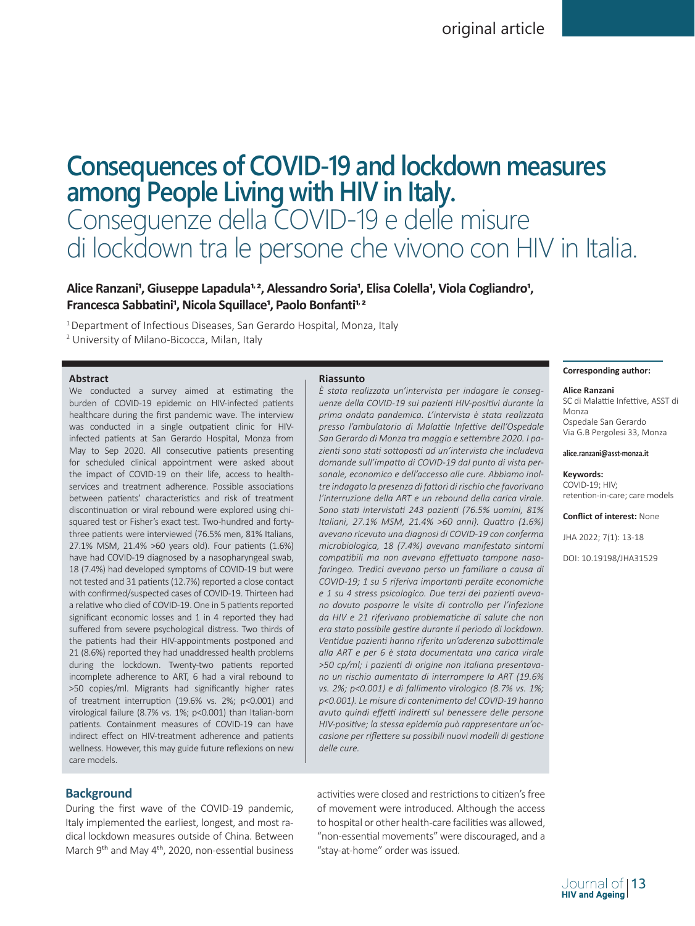# **Consequences of COVID-19 and lockdown measures among People Living with HIV in Italy.**  Conseguenze della COVID-19 e delle misure di lockdown tra le persone che vivono con HIV in Italia.

# Alice Ranzani<sup>1</sup>, Giuseppe Lapadula<sup>1, 2</sup>, Alessandro Soria<sup>1</sup>, Elisa Colella<sup>1</sup>, Viola Cogliandro<sup>1</sup>, Francesca Sabbatini<sup>1</sup>, Nicola Squillace<sup>1</sup>, Paolo Bonfanti<sup>1, 2</sup>

<sup>1</sup> Department of Infectious Diseases, San Gerardo Hospital, Monza, Italy

2 University of Milano-Bicocca, Milan, Italy

## **Abstract**

We conducted a survey aimed at estimating the burden of COVID-19 epidemic on HIV-infected patients healthcare during the first pandemic wave. The interview was conducted in a single outpatient clinic for HIVinfected patients at San Gerardo Hospital, Monza from May to Sep 2020. All consecutive patients presenting for scheduled clinical appointment were asked about the impact of COVID-19 on their life, access to healthservices and treatment adherence. Possible associations between patients' characteristics and risk of treatment discontinuation or viral rebound were explored using chisquared test or Fisher's exact test. Two-hundred and fortythree patients were interviewed (76.5% men, 81% Italians, 27.1% MSM, 21.4% >60 years old). Four patients (1.6%) have had COVID-19 diagnosed by a nasopharyngeal swab, 18 (7.4%) had developed symptoms of COVID-19 but were not tested and 31 patients (12.7%) reported a close contact with confirmed/suspected cases of COVID-19. Thirteen had a relative who died of COVID-19. One in 5 patients reported significant economic losses and 1 in 4 reported they had suffered from severe psychological distress. Two thirds of the patients had their HIV-appointments postponed and 21 (8.6%) reported they had unaddressed health problems during the lockdown. Twenty-two patients reported incomplete adherence to ART, 6 had a viral rebound to >50 copies/ml. Migrants had significantly higher rates of treatment interruption (19.6% vs. 2%; p<0.001) and virological failure (8.7% vs. 1%; p<0.001) than Italian-born patients. Containment measures of COVID-19 can have indirect effect on HIV-treatment adherence and patients wellness. However, this may guide future reflexions on new care models.

## **Riassunto**

*È stata realizzata un'intervista per indagare le conseguenze della COVID-19 sui pazienti HIV-positivi durante la prima ondata pandemica. L'intervista è stata realizzata presso l'ambulatorio di Malattie Infettive dell'Ospedale San Gerardo di Monza tra maggio e settembre 2020. I pazienti sono stati sottoposti ad un'intervista che includeva domande sull'impatto di COVID-19 dal punto di vista personale, economico e dell'accesso alle cure. Abbiamo inoltre indagato la presenza di fattori di rischio che favorivano l'interruzione della ART e un rebound della carica virale. Sono stati intervistati 243 pazienti (76.5% uomini, 81% Italiani, 27.1% MSM, 21.4% >60 anni). Quattro (1.6%) avevano ricevuto una diagnosi di COVID-19 con conferma microbiologica, 18 (7.4%) avevano manifestato sintomi compatibili ma non avevano effettuato tampone nasofaringeo. Tredici avevano perso un familiare a causa di COVID-19; 1 su 5 riferiva importanti perdite economiche e 1 su 4 stress psicologico. Due terzi dei pazienti avevano dovuto posporre le visite di controllo per l'infezione da HIV e 21 riferivano problematiche di salute che non era stato possibile gestire durante il periodo di lockdown. Ventidue pazienti hanno riferito un'aderenza subottimale alla ART e per 6 è stata documentata una carica virale >50 cp/ml; i pazienti di origine non italiana presentavano un rischio aumentato di interrompere la ART (19.6% vs. 2%; p<0.001) e di fallimento virologico (8.7% vs. 1%; p<0.001). Le misure di contenimento del COVID-19 hanno avuto quindi effetti indiretti sul benessere delle persone HIV-positive; la stessa epidemia può rappresentare un'occasione per riflettere su possibili nuovi modelli di gestione delle cure.* 

## **Corresponding author:**

### **Alice Ranzani**

SC di Malattie Infettive, ASST di Monza Ospedale San Gerardo Via G.B Pergolesi 33, Monza

### **alice.ranzani@asst-monza.it**

### **Keywords:**

COVID-19; HIV; retention-in-care; care models

**Conflict of interest:** None

JHA 2022; 7(1): 13-18

DOI: 10.19198/JHA31529

# **Background**

During the first wave of the COVID-19 pandemic, Italy implemented the earliest, longest, and most radical lockdown measures outside of China. Between March 9<sup>th</sup> and May 4<sup>th</sup>, 2020, non-essential business

activities were closed and restrictions to citizen's free of movement were introduced. Although the access to hospital or other health-care facilities was allowed, "non-essential movements" were discouraged, and a "stay-at-home" order was issued.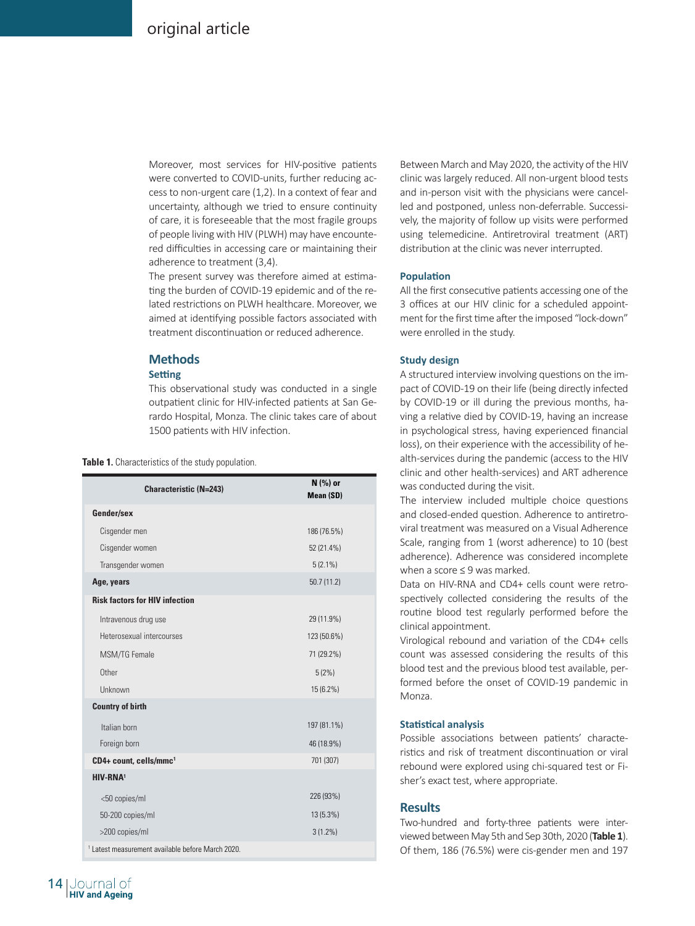Moreover, most services for HIV-positive patients were converted to COVID-units, further reducing access to non-urgent care (1,2). In a context of fear and uncertainty, although we tried to ensure continuity of care, it is foreseeable that the most fragile groups of people living with HIV (PLWH) may have encountered difficulties in accessing care or maintaining their adherence to treatment (3,4).

The present survey was therefore aimed at estimating the burden of COVID-19 epidemic and of the related restrictions on PLWH healthcare. Moreover, we aimed at identifying possible factors associated with treatment discontinuation or reduced adherence.

# **Methods**

# **Setting**

This observational study was conducted in a single outpatient clinic for HIV-infected patients at San Gerardo Hospital, Monza. The clinic takes care of about 1500 patients with HIV infection.

## **Table 1.** Characteristics of the study population.

| <b>Characteristic (N=243)</b>                                | N (%) or<br>Mean (SD) |
|--------------------------------------------------------------|-----------------------|
| Gender/sex                                                   |                       |
| Cisgender men                                                | 186 (76.5%)           |
| Cisgender women                                              | 52 (21.4%)            |
| Transgender women                                            | $5(2.1\%)$            |
| Age, years                                                   | 50.7(11.2)            |
| <b>Risk factors for HIV infection</b>                        |                       |
| Intravenous drug use                                         | 29 (11.9%)            |
| Heterosexual intercourses                                    | 123 (50.6%)           |
| MSM/TG Female                                                | 71 (29.2%)            |
| Other                                                        | 5(2%)                 |
| Unknown                                                      | 15 (6.2%)             |
| <b>Country of birth</b>                                      |                       |
| Italian born                                                 | 197 (81.1%)           |
| Foreign born                                                 | 46 (18.9%)            |
| CD4+ count, cells/mmc1                                       | 701 (307)             |
| HIV-RNA <sup>1</sup>                                         |                       |
| <50 copies/ml                                                | 226 (93%)             |
| 50-200 copies/ml                                             | 13 (5.3%)             |
| >200 copies/ml                                               | $3(1.2\%)$            |
| <sup>1</sup> Latest measurement available before March 2020. |                       |

Between March and May 2020, the activity of the HIV clinic was largely reduced. All non-urgent blood tests and in-person visit with the physicians were cancelled and postponed, unless non-deferrable. Successively, the majority of follow up visits were performed using telemedicine. Antiretroviral treatment (ART) distribution at the clinic was never interrupted.

## **Population**

All the first consecutive patients accessing one of the 3 offices at our HIV clinic for a scheduled appointment for the first time after the imposed "lock-down" were enrolled in the study.

## **Study design**

A structured interview involving questions on the impact of COVID-19 on their life (being directly infected by COVID-19 or ill during the previous months, having a relative died by COVID-19, having an increase in psychological stress, having experienced financial loss), on their experience with the accessibility of health-services during the pandemic (access to the HIV clinic and other health-services) and ART adherence was conducted during the visit.

The interview included multiple choice questions and closed-ended question. Adherence to antiretroviral treatment was measured on a Visual Adherence Scale, ranging from 1 (worst adherence) to 10 (best adherence). Adherence was considered incomplete when a score ≤ 9 was marked.

Data on HIV-RNA and CD4+ cells count were retrospectively collected considering the results of the routine blood test regularly performed before the clinical appointment.

Virological rebound and variation of the CD4+ cells count was assessed considering the results of this blood test and the previous blood test available, performed before the onset of COVID-19 pandemic in Monza.

## **Statistical analysis**

Possible associations between patients' characteristics and risk of treatment discontinuation or viral rebound were explored using chi-squared test or Fisher's exact test, where appropriate.

## **Results**

Two-hundred and forty-three patients were interviewed between May 5th and Sep 30th, 2020 (**Table 1**). Of them, 186 (76.5%) were cis-gender men and 197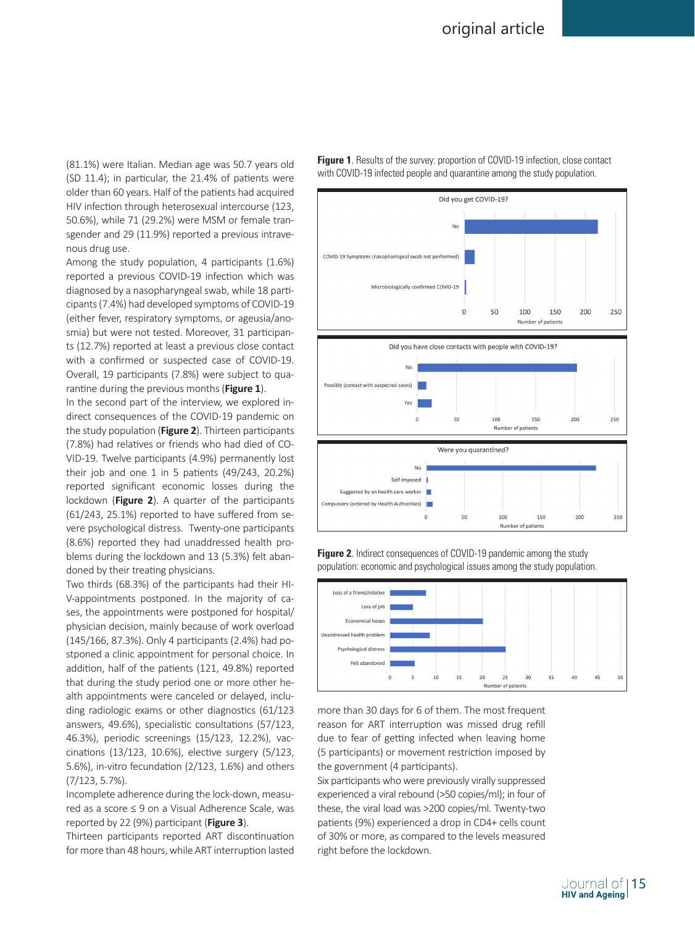(81.1%) were Italian. Median age was 50.7 years old (SD 11.4); in particular, the 21.4% of patients were older than 60 years. Half of the patients had acquired HIV infection through heterosexual intercourse (123, 50.6%), while 71 (29.2%) were MSM or female transgender and 29 (11.9%) reported a previous intravenous drug use.

Among the study population, 4 participants (1.6%) reported a previous COVID-19 infection which was diagnosed by a nasopharyngeal swab, while 18 participants (7.4%) had developed symptoms of COVID-19 (either fever, respiratory symptoms, or ageusia/anosmia) but were not tested. Moreover, 31 participants (12.7%) reported at least a previous close contact with a confirmed or suspected case of COVID-19. Overall, 19 participants (7.8%) were subject to quarantine during the previous months (**Figure 1**).

In the second part of the interview, we explored indirect consequences of the COVID-19 pandemic on the study population (**Figure 2**). Thirteen participants (7.8%) had relatives or friends who had died of CO-VID-19. Twelve participants (4.9%) permanently lost their job and one 1 in 5 patients  $(49/243, 20.2%)$ reported significant economic losses during the lockdown (**Figure 2**). A quarter of the participants (61/243, 25.1%) reported to have suffered from severe psychological distress. Twenty-one participants (8.6%) reported they had unaddressed health problems during the lockdown and 13 (5.3%) felt abandoned by their treating physicians.

Two thirds (68.3%) of the participants had their HI-V-appointments postponed. In the majority of cases, the appointments were postponed for hospital/ physician decision, mainly because of work overload (145/166, 87.3%). Only 4 participants (2.4%) had postponed a clinic appointment for personal choice. In addition, half of the patients (121, 49.8%) reported that during the study period one or more other health appointments were canceled or delayed, including radiologic exams or other diagnostics (61/123 answers, 49.6%), specialistic consultations (57/123, 46.3%), periodic screenings (15/123, 12.2%), vaccinations (13/123, 10.6%), elective surgery (5/123, 5.6%), in-vitro fecundation (2/123, 1.6%) and others (7/123, 5.7%).

Incomplete adherence during the lock-down, measured as a score ≤ 9 on a Visual Adherence Scale, was reported by 22 (9%) participant (**Figure 3**).

Thirteen participants reported ART discontinuation for more than 48 hours, while ART interruption lasted



**Figure 1.** Results of the survey: proportion of COVID-19 infection, close contact with COVID-19 infected people and quarantine among the study population.

**Figure 2.** Indirect consequences of COVID-19 pandemic among the study population: economic and psychological issues among the study population.



more than 30 days for 6 of them. The most frequent reason for ART interruption was missed drug refill due to fear of getting infected when leaving home (5 participants) or movement restriction imposed by the government (4 participants).

Six participants who were previously virally suppressed experienced a viral rebound (>50 copies/ml); in four of these, the viral load was >200 copies/ml. Twenty-two patients (9%) experienced a drop in CD4+ cells count of 30% or more, as compared to the levels measured right before the lockdown.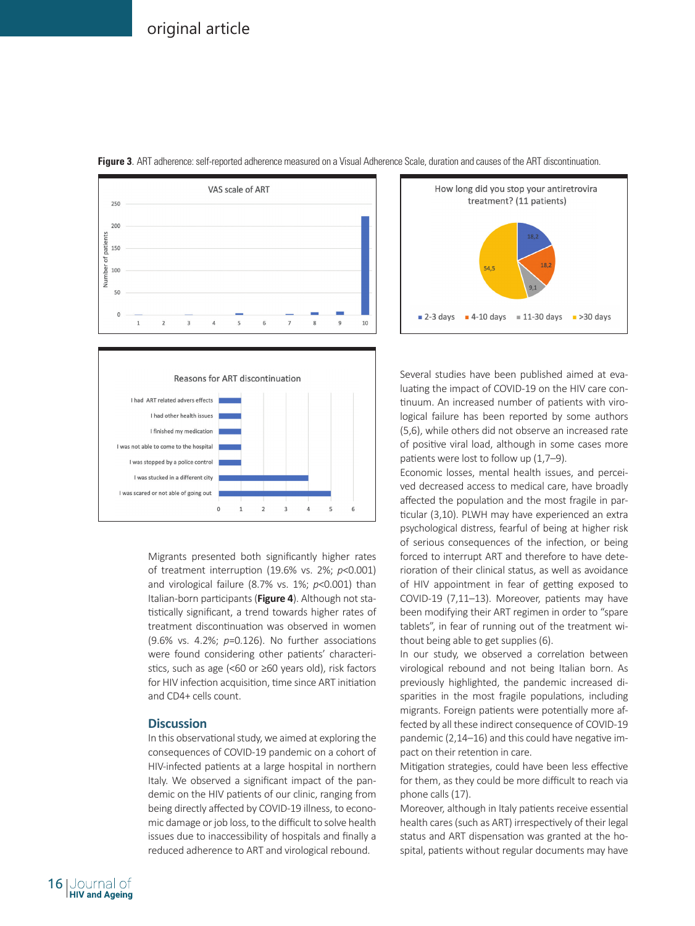

**Figure 3**. ART adherence: self-reported adherence measured on a Visual Adherence Scale, duration and causes of the ART discontinuation.



Migrants presented both significantly higher rates of treatment interruption (19.6% vs. 2%; *p*<0.001) and virological failure (8.7% vs. 1%; *p*<0.001) than Italian-born participants (**Figure 4**). Although not statistically significant, a trend towards higher rates of treatment discontinuation was observed in women (9.6% vs. 4.2%; *p*=0.126). No further associations were found considering other patients' characteristics, such as age (<60 or ≥60 years old), risk factors for HIV infection acquisition, time since ART initiation and CD4+ cells count.

## **Discussion**

In this observational study, we aimed at exploring the consequences of COVID-19 pandemic on a cohort of HIV-infected patients at a large hospital in northern Italy. We observed a significant impact of the pandemic on the HIV patients of our clinic, ranging from being directly affected by COVID-19 illness, to economic damage or job loss, to the difficult to solve health issues due to inaccessibility of hospitals and finally a reduced adherence to ART and virological rebound.



Several studies have been published aimed at evaluating the impact of COVID-19 on the HIV care continuum. An increased number of patients with virological failure has been reported by some authors (5,6), while others did not observe an increased rate of positive viral load, although in some cases more patients were lost to follow up (1,7–9).

Economic losses, mental health issues, and perceived decreased access to medical care, have broadly affected the population and the most fragile in particular (3,10). PLWH may have experienced an extra psychological distress, fearful of being at higher risk of serious consequences of the infection, or being forced to interrupt ART and therefore to have deterioration of their clinical status, as well as avoidance of HIV appointment in fear of getting exposed to COVID-19 (7,11–13). Moreover, patients may have been modifying their ART regimen in order to "spare tablets", in fear of running out of the treatment without being able to get supplies (6).

In our study, we observed a correlation between virological rebound and not being Italian born. As previously highlighted, the pandemic increased disparities in the most fragile populations, including migrants. Foreign patients were potentially more affected by all these indirect consequence of COVID-19 pandemic (2,14–16) and this could have negative impact on their retention in care.

Mitigation strategies, could have been less effective for them, as they could be more difficult to reach via phone calls (17).

Moreover, although in Italy patients receive essential health cares (such as ART) irrespectively of their legal status and ART dispensation was granted at the hospital, patients without regular documents may have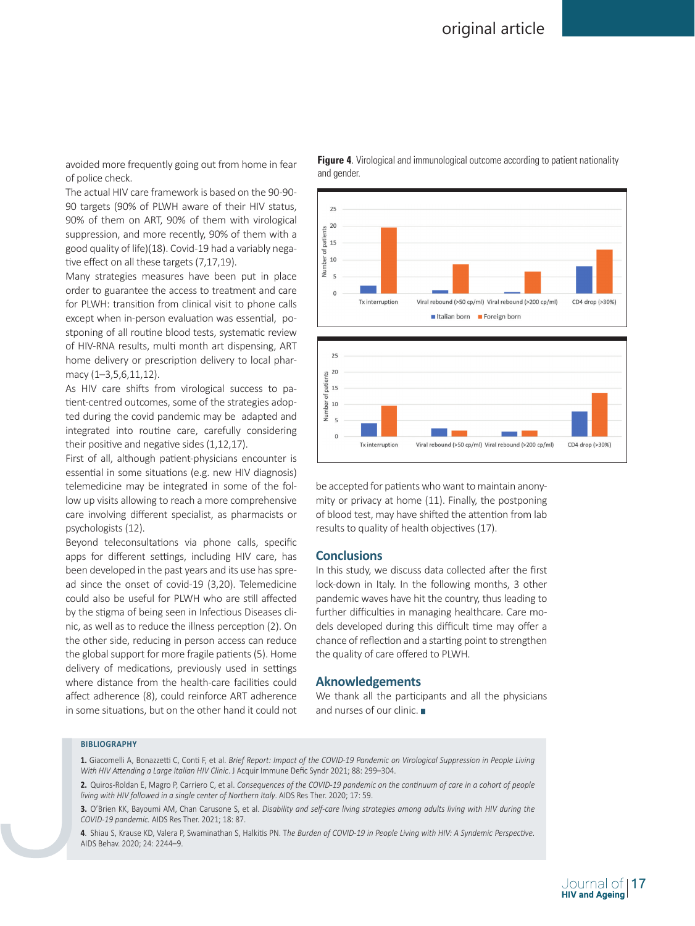avoided more frequently going out from home in fear **Figure 4.** V of police check.

The actual HIV care framework is based on the 90-90- 90 targets (90% of PLWH aware of their HIV status, 90% of them on ART, 90% of them with virological suppression, and more recently, 90% of them with a good quality of life)(18). Covid-19 had a variably negative effect on all these targets (7,17,19).

Many strategies measures have been put in place order to guarantee the access to treatment and care for PLWH: transition from clinical visit to phone calls except when in-person evaluation was essential, postponing of all routine blood tests, systematic review of HIV-RNA results, multi month art dispensing, ART home delivery or prescription delivery to local pharmacy (1–3,5,6,11,12).

As HIV care shifts from virological success to patient-centred outcomes, some of the strategies adopted during the covid pandemic may be adapted and integrated into routine care, carefully considering their positive and negative sides (1,12,17).

First of all, although patient-physicians encounter is essential in some situations (e.g. new HIV diagnosis) telemedicine may be integrated in some of the follow up visits allowing to reach a more comprehensive care involving different specialist, as pharmacists or psychologists (12).

Beyond teleconsultations via phone calls, specific apps for different settings, including HIV care, has been developed in the past years and its use has spread since the onset of covid-19 (3,20). Telemedicine could also be useful for PLWH who are still affected by the stigma of being seen in Infectious Diseases clinic, as well as to reduce the illness perception (2). On the other side, reducing in person access can reduce the global support for more fragile patients (5). Home delivery of medications, previously used in settings where distance from the health-care facilities could affect adherence (8), could reinforce ART adherence in some situations, but on the other hand it could not **Figure 4.** Virological and immunological outcome according to patient nationality



be accepted for patients who want to maintain anonymity or privacy at home (11). Finally, the postponing of blood test, may have shifted the attention from lab results to quality of health objectives (17).

## **Conclusions**

In this study, we discuss data collected after the first lock-down in Italy. In the following months, 3 other pandemic waves have hit the country, thus leading to further difficulties in managing healthcare. Care models developed during this difficult time may offer a chance of reflection and a starting point to strengthen the quality of care offered to PLWH.

## **Aknowledgements**

We thank all the participants and all the physicians and nurses of our clinic.

#### **BIBLIOGRAPHY**

**1.** Giacomelli A, Bonazzetti C, Conti F, et al. *Brief Report: Impact of the COVID-19 Pandemic on Virological Suppression in People Living With HIV Attending a Large Italian HIV Clinic*. J Acquir Immune Defic Syndr 2021; 88: 299–304.

**2.** Quiros-Roldan E, Magro P, Carriero C, et al. *Consequences of the COVID-19 pandemic on the continuum of care in a cohort of people living with HIV followed in a single center of Northern Italy*. AIDS Res Ther. 2020; 17: 59.

**4**. Shiau S, Krause KD, Valera P, Swaminathan S, Halkitis PN. T*he Burden of COVID-19 in People Living with HIV: A Syndemic Perspective*. AIDS Behav. 2020; 24: 2244–9.

**<sup>3.</sup>** O'Brien KK, Bayoumi AM, Chan Carusone S, et al. *Disability and self-care living strategies among adults living with HIV during the COVID-19 pandemic.* AIDS Res Ther. 2021; 18: 87.